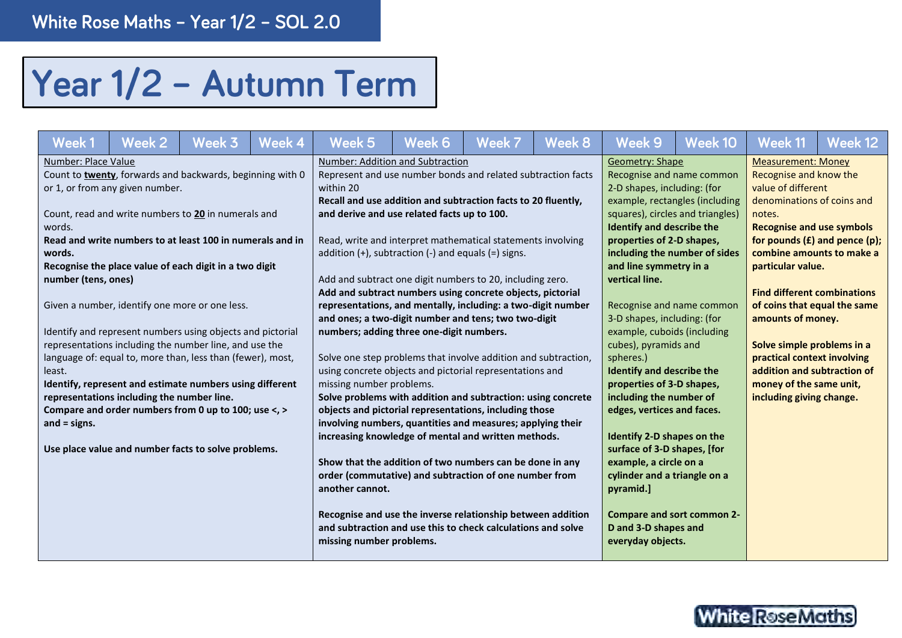## Year 1/2 - Autumn Term

| Week 1              | Week 2                                     | Week 3                                                     | Week 4 | Week 5                                                         | Week 6 | Week 7 | Week 8 | Week 9                       | Week 10                           | Week 11                            | Week 12 |  |
|---------------------|--------------------------------------------|------------------------------------------------------------|--------|----------------------------------------------------------------|--------|--------|--------|------------------------------|-----------------------------------|------------------------------------|---------|--|
| Number: Place Value |                                            |                                                            |        | Number: Addition and Subtraction                               |        |        |        | <b>Geometry: Shape</b>       |                                   | <b>Measurement: Money</b>          |         |  |
|                     |                                            | Count to twenty, forwards and backwards, beginning with 0  |        | Represent and use number bonds and related subtraction facts   |        |        |        |                              | Recognise and name common         | Recognise and know the             |         |  |
|                     | or 1, or from any given number.            |                                                            |        | within 20                                                      |        |        |        | 2-D shapes, including: (for  |                                   | value of different                 |         |  |
|                     |                                            |                                                            |        | Recall and use addition and subtraction facts to 20 fluently,  |        |        |        |                              | example, rectangles (including    | denominations of coins and         |         |  |
|                     |                                            | Count, read and write numbers to 20 in numerals and        |        | and derive and use related facts up to 100.                    |        |        |        |                              | squares), circles and triangles)  | notes.                             |         |  |
| words.              |                                            |                                                            |        |                                                                |        |        |        | Identify and describe the    |                                   | <b>Recognise and use symbols</b>   |         |  |
|                     |                                            | Read and write numbers to at least 100 in numerals and in  |        | Read, write and interpret mathematical statements involving    |        |        |        | properties of 2-D shapes,    |                                   | for pounds $(E)$ and pence $(p)$ ; |         |  |
| words.              |                                            |                                                            |        | addition $(+)$ , subtraction $(-)$ and equals $(=)$ signs.     |        |        |        |                              | including the number of sides     | combine amounts to make a          |         |  |
|                     |                                            | Recognise the place value of each digit in a two digit     |        |                                                                |        |        |        | and line symmetry in a       |                                   | particular value.                  |         |  |
| number (tens, ones) |                                            |                                                            |        | Add and subtract one digit numbers to 20, including zero.      |        |        |        | vertical line.               |                                   |                                    |         |  |
|                     |                                            |                                                            |        | Add and subtract numbers using concrete objects, pictorial     |        |        |        |                              |                                   | <b>Find different combinations</b> |         |  |
|                     |                                            | Given a number, identify one more or one less.             |        | representations, and mentally, including: a two-digit number   |        |        |        |                              | Recognise and name common         | of coins that equal the same       |         |  |
|                     |                                            |                                                            |        | and ones; a two-digit number and tens; two two-digit           |        |        |        | 3-D shapes, including: (for  |                                   | amounts of money.                  |         |  |
|                     |                                            | Identify and represent numbers using objects and pictorial |        | numbers; adding three one-digit numbers.                       |        |        |        | example, cuboids (including  |                                   |                                    |         |  |
|                     |                                            | representations including the number line, and use the     |        |                                                                |        |        |        | cubes), pyramids and         |                                   | Solve simple problems in a         |         |  |
|                     |                                            | language of: equal to, more than, less than (fewer), most, |        | Solve one step problems that involve addition and subtraction, |        |        |        | spheres.)                    |                                   | practical context involving        |         |  |
| least.              |                                            |                                                            |        | using concrete objects and pictorial representations and       |        |        |        | Identify and describe the    |                                   | addition and subtraction of        |         |  |
|                     |                                            | Identify, represent and estimate numbers using different   |        | missing number problems.                                       |        |        |        | properties of 3-D shapes,    |                                   | money of the same unit,            |         |  |
|                     | representations including the number line. |                                                            |        | Solve problems with addition and subtraction: using concrete   |        |        |        | including the number of      |                                   | including giving change.           |         |  |
|                     |                                            | Compare and order numbers from 0 up to 100; use <, >       |        | objects and pictorial representations, including those         |        |        |        | edges, vertices and faces.   |                                   |                                    |         |  |
| and $=$ signs.      |                                            |                                                            |        | involving numbers, quantities and measures; applying their     |        |        |        |                              |                                   |                                    |         |  |
|                     |                                            |                                                            |        | increasing knowledge of mental and written methods.            |        |        |        | Identify 2-D shapes on the   |                                   |                                    |         |  |
|                     |                                            | Use place value and number facts to solve problems.        |        |                                                                |        |        |        | surface of 3-D shapes, [for  |                                   |                                    |         |  |
|                     |                                            |                                                            |        | Show that the addition of two numbers can be done in any       |        |        |        | example, a circle on a       |                                   |                                    |         |  |
|                     |                                            |                                                            |        | order (commutative) and subtraction of one number from         |        |        |        | cylinder and a triangle on a |                                   |                                    |         |  |
|                     |                                            |                                                            |        | another cannot.                                                |        |        |        | pyramid.]                    |                                   |                                    |         |  |
|                     |                                            |                                                            |        |                                                                |        |        |        |                              |                                   |                                    |         |  |
|                     |                                            |                                                            |        | Recognise and use the inverse relationship between addition    |        |        |        |                              | <b>Compare and sort common 2-</b> |                                    |         |  |
|                     |                                            |                                                            |        | and subtraction and use this to check calculations and solve   |        |        |        | D and 3-D shapes and         |                                   |                                    |         |  |
|                     |                                            |                                                            |        | missing number problems.                                       |        |        |        | everyday objects.            |                                   |                                    |         |  |
|                     |                                            |                                                            |        |                                                                |        |        |        |                              |                                   |                                    |         |  |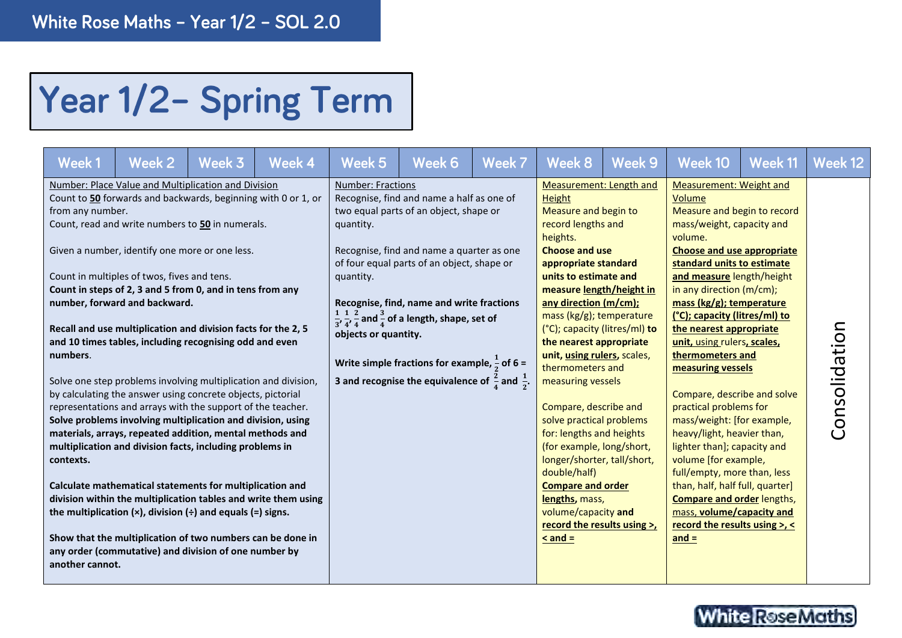## Year 1/2- Spring Term

| Week 1                                                       | Week 2                                                                                                                                                                                                                                                                                                                                                                                                                                                                                                                                                                                                                                                                                                                                                                                                                                                                                                                                                                                                                                                                                                                                                                                                                  | Week 3 | Week 4 | Week 5                                                                     | Week 6                                                                                                                                                                                                                                                                                                                                                                                                                                                  | Week 7 | Week 8                                                                                                                                                                                                                                                                                                                                                                                                                                                                                                                                                                                                                                                                        | Week 9 | Week 10                                                                                                                                                                                                                                                                                                                                                                                                                                                                                                                                                                                                                                                                                                                                                   | Week 11 | Week 12       |
|--------------------------------------------------------------|-------------------------------------------------------------------------------------------------------------------------------------------------------------------------------------------------------------------------------------------------------------------------------------------------------------------------------------------------------------------------------------------------------------------------------------------------------------------------------------------------------------------------------------------------------------------------------------------------------------------------------------------------------------------------------------------------------------------------------------------------------------------------------------------------------------------------------------------------------------------------------------------------------------------------------------------------------------------------------------------------------------------------------------------------------------------------------------------------------------------------------------------------------------------------------------------------------------------------|--------|--------|----------------------------------------------------------------------------|---------------------------------------------------------------------------------------------------------------------------------------------------------------------------------------------------------------------------------------------------------------------------------------------------------------------------------------------------------------------------------------------------------------------------------------------------------|--------|-------------------------------------------------------------------------------------------------------------------------------------------------------------------------------------------------------------------------------------------------------------------------------------------------------------------------------------------------------------------------------------------------------------------------------------------------------------------------------------------------------------------------------------------------------------------------------------------------------------------------------------------------------------------------------|--------|-----------------------------------------------------------------------------------------------------------------------------------------------------------------------------------------------------------------------------------------------------------------------------------------------------------------------------------------------------------------------------------------------------------------------------------------------------------------------------------------------------------------------------------------------------------------------------------------------------------------------------------------------------------------------------------------------------------------------------------------------------------|---------|---------------|
| from any number.<br>numbers.<br>contexts.<br>another cannot. | Number: Place Value and Multiplication and Division<br>Count to 50 forwards and backwards, beginning with 0 or 1, or<br>Count, read and write numbers to 50 in numerals.<br>Given a number, identify one more or one less.<br>Count in multiples of twos, fives and tens.<br>Count in steps of 2, 3 and 5 from 0, and in tens from any<br>number, forward and backward.<br>Recall and use multiplication and division facts for the 2, 5<br>and 10 times tables, including recognising odd and even<br>Solve one step problems involving multiplication and division,<br>by calculating the answer using concrete objects, pictorial<br>representations and arrays with the support of the teacher.<br>Solve problems involving multiplication and division, using<br>materials, arrays, repeated addition, mental methods and<br>multiplication and division facts, including problems in<br>Calculate mathematical statements for multiplication and<br>division within the multiplication tables and write them using<br>the multiplication $(x)$ , division $(\div)$ and equals $(=)$ signs.<br>Show that the multiplication of two numbers can be done in<br>any order (commutative) and division of one number by |        |        | <b>Number: Fractions</b><br>quantity.<br>quantity.<br>objects or quantity. | Recognise, find and name a half as one of<br>two equal parts of an object, shape or<br>Recognise, find and name a quarter as one<br>of four equal parts of an object, shape or<br>Recognise, find, name and write fractions<br>$\frac{1}{3}, \frac{1}{4}, \frac{2}{4}$ and $\frac{3}{4}$ of a length, shape, set of<br>Write simple fractions for example, $\frac{1}{2}$ of 6 =<br>3 and recognise the equivalence of $\frac{2}{4}$ and $\frac{1}{2}$ . |        | Measurement: Length and<br>Height<br>Measure and begin to<br>record lengths and<br>heights.<br><b>Choose and use</b><br>appropriate standard<br>units to estimate and<br>measure length/height in<br>any direction (m/cm);<br>mass (kg/g); temperature<br>(°C); capacity (litres/ml) to<br>the nearest appropriate<br>unit, using rulers, scales,<br>thermometers and<br>measuring vessels<br>Compare, describe and<br>solve practical problems<br>for: lengths and heights<br>(for example, long/short,<br>longer/shorter, tall/short,<br>double/half)<br><b>Compare and order</b><br>lengths, mass,<br>volume/capacity and<br>record the results using >,<br>$\leq$ and $=$ |        | Measurement: Weight and<br>Volume<br>Measure and begin to record<br>mass/weight, capacity and<br>volume.<br>Choose and use appropriate<br>standard units to estimate<br>and measure length/height<br>in any direction (m/cm);<br>mass (kg/g); temperature<br>(°C); capacity (litres/ml) to<br>the nearest appropriate<br>unit, using rulers, scales,<br>thermometers and<br>measuring vessels<br>Compare, describe and solve<br>practical problems for<br>mass/weight: [for example,<br>heavy/light, heavier than,<br>lighter than]; capacity and<br>volume [for example,<br>full/empty, more than, less<br>than, half, half full, quarter]<br><b>Compare and order lengths,</b><br>mass, volume/capacity and<br>record the results using >, <<br>$and =$ |         | Consolidation |